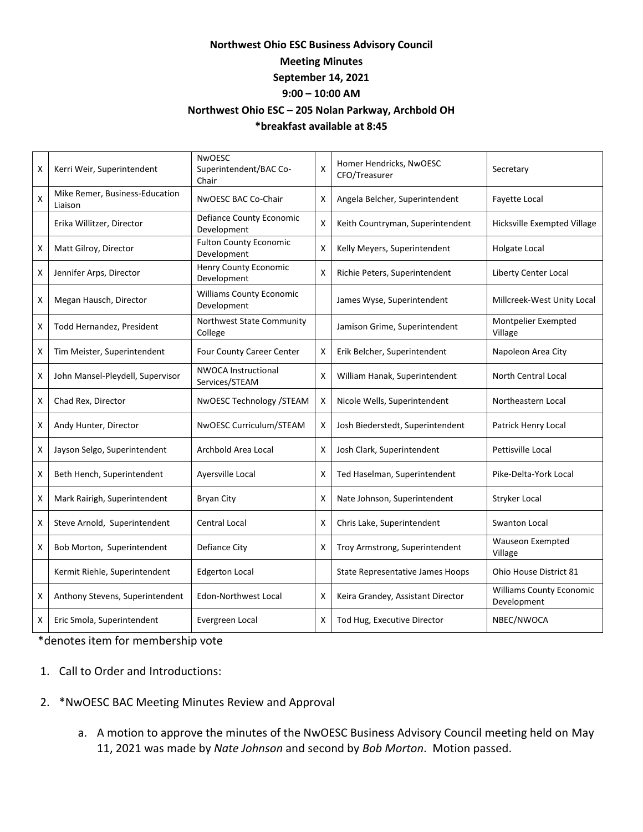## **Northwest Ohio ESC Business Advisory Council Meeting Minutes September 14, 2021 9:00 – 10:00 AM Northwest Ohio ESC – 205 Nolan Parkway, Archbold OH \*breakfast available at 8:45**

| Χ | Kerri Weir, Superintendent                | <b>NWOESC</b><br>Superintendent/BAC Co-<br>Chair | X | Homer Hendricks, NwOESC<br>CFO/Treasurer | Secretary                                      |
|---|-------------------------------------------|--------------------------------------------------|---|------------------------------------------|------------------------------------------------|
| Χ | Mike Remer, Business-Education<br>Liaison | NWOESC BAC Co-Chair                              | X | Angela Belcher, Superintendent           | <b>Fayette Local</b>                           |
|   | Erika Willitzer, Director                 | Defiance County Economic<br>Development          | X | Keith Countryman, Superintendent         | Hicksville Exempted Village                    |
| X | Matt Gilroy, Director                     | <b>Fulton County Economic</b><br>Development     | X | Kelly Meyers, Superintendent             | <b>Holgate Local</b>                           |
| X | Jennifer Arps, Director                   | <b>Henry County Economic</b><br>Development      | X | Richie Peters, Superintendent            | <b>Liberty Center Local</b>                    |
| X | Megan Hausch, Director                    | <b>Williams County Economic</b><br>Development   |   | James Wyse, Superintendent               | Millcreek-West Unity Local                     |
| Χ | Todd Hernandez, President                 | Northwest State Community<br>College             |   | Jamison Grime, Superintendent            | Montpelier Exempted<br>Village                 |
| X | Tim Meister, Superintendent               | <b>Four County Career Center</b>                 | X | Erik Belcher, Superintendent             | Napoleon Area City                             |
| X | John Mansel-Pleydell, Supervisor          | <b>NWOCA Instructional</b><br>Services/STEAM     | X | William Hanak, Superintendent            | <b>North Central Local</b>                     |
| X | Chad Rex, Director                        | NwOESC Technology /STEAM                         | X | Nicole Wells, Superintendent             | Northeastern Local                             |
| X | Andy Hunter, Director                     | NwOESC Curriculum/STEAM                          | X | Josh Biederstedt, Superintendent         | Patrick Henry Local                            |
| х | Jayson Selgo, Superintendent              | Archbold Area Local                              | X | Josh Clark, Superintendent               | Pettisville Local                              |
| X | Beth Hench, Superintendent                | Aversville Local                                 | X | Ted Haselman, Superintendent             | Pike-Delta-York Local                          |
| X | Mark Rairigh, Superintendent              | <b>Bryan City</b>                                | X | Nate Johnson, Superintendent             | Stryker Local                                  |
| X | Steve Arnold, Superintendent              | Central Local                                    | X | Chris Lake, Superintendent               | <b>Swanton Local</b>                           |
| X | Bob Morton, Superintendent                | Defiance City                                    | X | Troy Armstrong, Superintendent           | <b>Wauseon Exempted</b><br>Village             |
|   | Kermit Riehle, Superintendent             | <b>Edgerton Local</b>                            |   | State Representative James Hoops         | Ohio House District 81                         |
| X | Anthony Stevens, Superintendent           | Edon-Northwest Local                             | X | Keira Grandey, Assistant Director        | <b>Williams County Economic</b><br>Development |
| X | Eric Smola, Superintendent                | Evergreen Local                                  | X | Tod Hug, Executive Director              | NBEC/NWOCA                                     |

\*denotes item for membership vote

- 1. Call to Order and Introductions:
- 2. \*NwOESC BAC Meeting Minutes Review and Approval
	- a. A motion to approve the minutes of the NwOESC Business Advisory Council meeting held on May 11, 2021 was made by *Nate Johnson* and second by *Bob Morton*. Motion passed.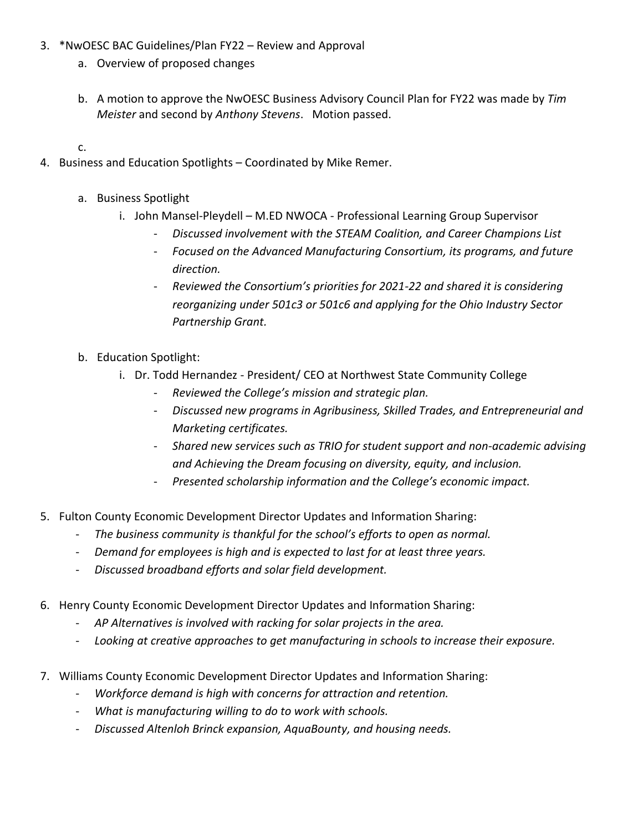- 3. \*NwOESC BAC Guidelines/Plan FY22 Review and Approval
	- a. Overview of proposed changes
	- b. A motion to approve the NwOESC Business Advisory Council Plan for FY22 was made by *Tim Meister* and second by *Anthony Stevens*. Motion passed.

c.

- 4. Business and Education Spotlights Coordinated by Mike Remer.
	- a. Business Spotlight
		- i. John Mansel-Pleydell M.ED NWOCA Professional Learning Group Supervisor
			- *Discussed involvement with the STEAM Coalition, and Career Champions List*
			- *Focused on the Advanced Manufacturing Consortium, its programs, and future direction.*
			- *Reviewed the Consortium's priorities for 2021-22 and shared it is considering reorganizing under 501c3 or 501c6 and applying for the Ohio Industry Sector Partnership Grant.*
	- b. Education Spotlight:
		- i. Dr. Todd Hernandez President/ CEO at Northwest State Community College
			- *Reviewed the College's mission and strategic plan.*
			- *Discussed new programs in Agribusiness, Skilled Trades, and Entrepreneurial and Marketing certificates.*
			- *Shared new services such as TRIO for student support and non-academic advising and Achieving the Dream focusing on diversity, equity, and inclusion.*
			- *Presented scholarship information and the College's economic impact.*
- 5. Fulton County Economic Development Director Updates and Information Sharing:
	- *The business community is thankful for the school's efforts to open as normal.*
	- *Demand for employees is high and is expected to last for at least three years.*
	- *Discussed broadband efforts and solar field development.*
- 6. Henry County Economic Development Director Updates and Information Sharing:
	- *AP Alternatives is involved with racking for solar projects in the area.*
	- *Looking at creative approaches to get manufacturing in schools to increase their exposure.*
- 7. Williams County Economic Development Director Updates and Information Sharing:
	- *Workforce demand is high with concerns for attraction and retention.*
	- *What is manufacturing willing to do to work with schools.*
	- *Discussed Altenloh Brinck expansion, AquaBounty, and housing needs.*